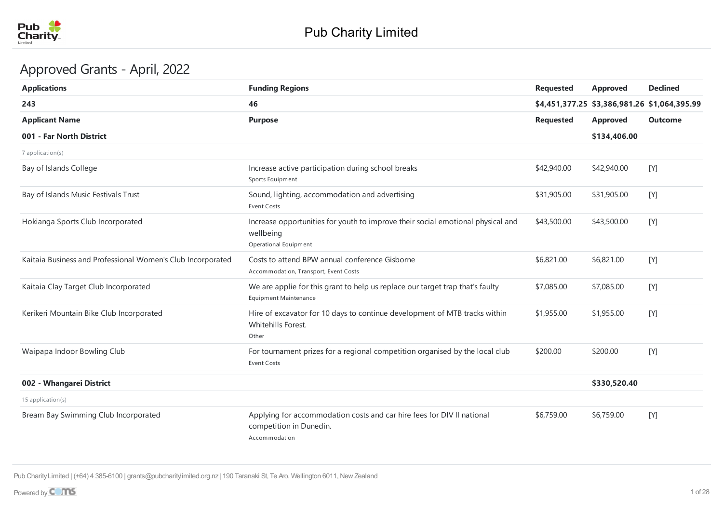

# Approved Grants - April, 2022

| <b>Applications</b>                                         | <b>Funding Regions</b>                                                                                                | <b>Requested</b> | <b>Approved</b>                              | <b>Declined</b> |
|-------------------------------------------------------------|-----------------------------------------------------------------------------------------------------------------------|------------------|----------------------------------------------|-----------------|
| 243                                                         | 46                                                                                                                    |                  | \$4,451,377.25 \$3,386,981.26 \$1,064,395.99 |                 |
| <b>Applicant Name</b>                                       | <b>Purpose</b>                                                                                                        | <b>Requested</b> | <b>Approved</b>                              | <b>Outcome</b>  |
| 001 - Far North District                                    |                                                                                                                       |                  | \$134,406.00                                 |                 |
| 7 application(s)                                            |                                                                                                                       |                  |                                              |                 |
| Bay of Islands College                                      | Increase active participation during school breaks<br>Sports Equipment                                                | \$42,940.00      | \$42,940.00                                  | $[Y]$           |
| Bay of Islands Music Festivals Trust                        | Sound, lighting, accommodation and advertising<br>Event Costs                                                         | \$31,905.00      | \$31,905.00                                  | [Y]             |
| Hokianga Sports Club Incorporated                           | Increase opportunities for youth to improve their social emotional physical and<br>wellbeing<br>Operational Equipment | \$43,500.00      | \$43,500.00                                  | $[Y]$           |
| Kaitaia Business and Professional Women's Club Incorporated | Costs to attend BPW annual conference Gisborne<br>Accommodation, Transport, Event Costs                               | \$6,821.00       | \$6,821.00                                   | [Y]             |
| Kaitaia Clay Target Club Incorporated                       | We are applie for this grant to help us replace our target trap that's faulty<br><b>Equipment Maintenance</b>         | \$7,085.00       | \$7,085.00                                   | [Y]             |
| Kerikeri Mountain Bike Club Incorporated                    | Hire of excavator for 10 days to continue development of MTB tracks within<br>Whitehills Forest.<br>Other             | \$1,955.00       | \$1,955.00                                   | [Y]             |
| Waipapa Indoor Bowling Club                                 | For tournament prizes for a regional competition organised by the local club<br><b>Event Costs</b>                    | \$200.00         | \$200.00                                     | [Y]             |
| 002 - Whangarei District                                    |                                                                                                                       |                  | \$330,520.40                                 |                 |
| 15 application(s)                                           |                                                                                                                       |                  |                                              |                 |
| Bream Bay Swimming Club Incorporated                        | Applying for accommodation costs and car hire fees for DIV II national<br>competition in Dunedin.<br>Accommodation    | \$6,759.00       | \$6,759.00                                   | [Y]             |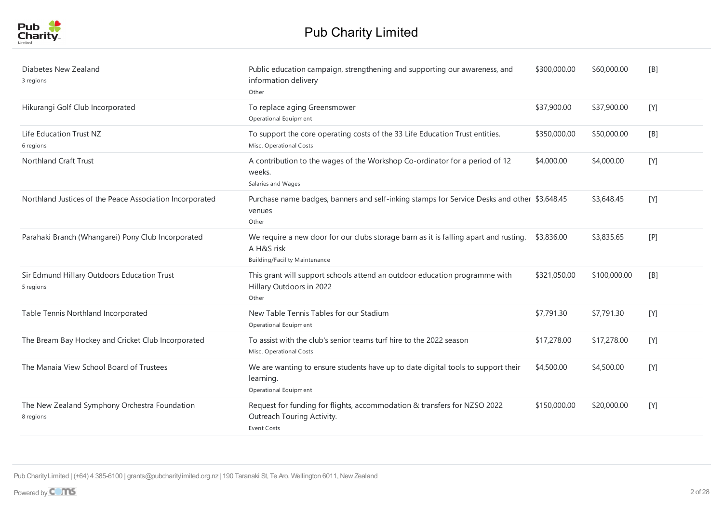

| Diabetes New Zealand<br>3 regions                          | Public education campaign, strengthening and supporting our awareness, and<br>information delivery<br>Other                                | \$300,000.00 | \$60,000.00  | [B] |
|------------------------------------------------------------|--------------------------------------------------------------------------------------------------------------------------------------------|--------------|--------------|-----|
| Hikurangi Golf Club Incorporated                           | To replace aging Greensmower<br>Operational Equipment                                                                                      | \$37,900.00  | \$37,900.00  | [Y] |
| Life Education Trust NZ<br>6 regions                       | To support the core operating costs of the 33 Life Education Trust entities.<br>Misc. Operational Costs                                    | \$350,000.00 | \$50,000.00  | [B] |
| <b>Northland Craft Trust</b>                               | A contribution to the wages of the Workshop Co-ordinator for a period of 12<br>weeks.<br>Salaries and Wages                                | \$4,000.00   | \$4,000.00   | [Y] |
| Northland Justices of the Peace Association Incorporated   | Purchase name badges, banners and self-inking stamps for Service Desks and other \$3,648.45<br>venues<br>Other                             |              | \$3,648.45   | [Y] |
| Parahaki Branch (Whangarei) Pony Club Incorporated         | We require a new door for our clubs storage barn as it is falling apart and rusting.<br>A H&S risk<br><b>Building/Facility Maintenance</b> | \$3,836.00   | \$3,835.65   | [P] |
| Sir Edmund Hillary Outdoors Education Trust<br>5 regions   | This grant will support schools attend an outdoor education programme with<br>Hillary Outdoors in 2022<br>Other                            | \$321,050.00 | \$100,000.00 | [B] |
| Table Tennis Northland Incorporated                        | New Table Tennis Tables for our Stadium<br>Operational Equipment                                                                           | \$7,791.30   | \$7,791.30   | [Y] |
| The Bream Bay Hockey and Cricket Club Incorporated         | To assist with the club's senior teams turf hire to the 2022 season<br>Misc. Operational Costs                                             | \$17,278.00  | \$17,278.00  | [Y] |
| The Manaia View School Board of Trustees                   | We are wanting to ensure students have up to date digital tools to support their<br>learning.<br>Operational Equipment                     | \$4,500.00   | \$4,500.00   | [Y] |
| The New Zealand Symphony Orchestra Foundation<br>8 regions | Request for funding for flights, accommodation & transfers for NZSO 2022<br>Outreach Touring Activity.<br><b>Event Costs</b>               | \$150,000.00 | \$20,000.00  | [Y] |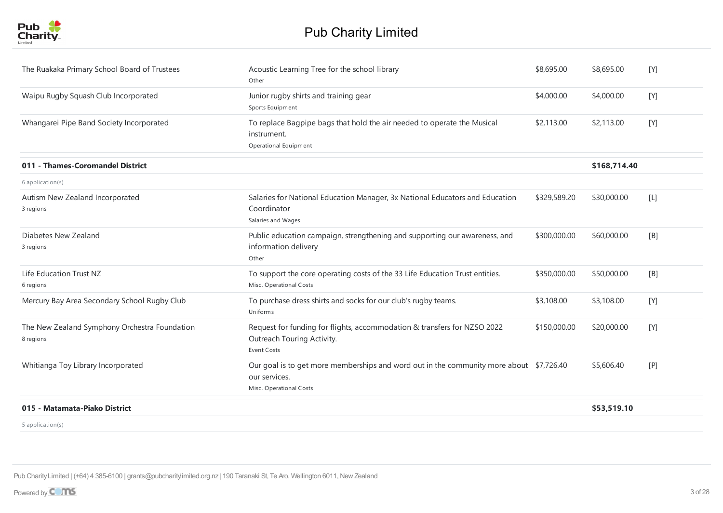

| The Ruakaka Primary School Board of Trustees               | Acoustic Learning Tree for the school library<br>Other                                                                              | \$8,695.00   | \$8,695.00   | [Y]             |
|------------------------------------------------------------|-------------------------------------------------------------------------------------------------------------------------------------|--------------|--------------|-----------------|
| Waipu Rugby Squash Club Incorporated                       | Junior rugby shirts and training gear<br>Sports Equipment                                                                           | \$4,000.00   | \$4,000.00   | [Y]             |
| Whangarei Pipe Band Society Incorporated                   | To replace Bagpipe bags that hold the air needed to operate the Musical<br>instrument.<br>Operational Equipment                     | \$2,113.00   | \$2,113.00   | [Y]             |
| 011 - Thames-Coromandel District                           |                                                                                                                                     |              | \$168,714.40 |                 |
| 6 application(s)                                           |                                                                                                                                     |              |              |                 |
| Autism New Zealand Incorporated<br>3 regions               | Salaries for National Education Manager, 3x National Educators and Education<br>Coordinator<br>Salaries and Wages                   | \$329,589.20 | \$30,000.00  | $[{\mathsf L}]$ |
| Diabetes New Zealand<br>3 regions                          | Public education campaign, strengthening and supporting our awareness, and<br>information delivery<br>Other                         | \$300,000.00 | \$60,000.00  | [B]             |
| Life Education Trust NZ<br>6 regions                       | To support the core operating costs of the 33 Life Education Trust entities.<br>Misc. Operational Costs                             | \$350,000.00 | \$50,000.00  | [B]             |
| Mercury Bay Area Secondary School Rugby Club               | To purchase dress shirts and socks for our club's rugby teams.<br>Uniforms                                                          | \$3,108.00   | \$3,108.00   | [Y]             |
| The New Zealand Symphony Orchestra Foundation<br>8 regions | Request for funding for flights, accommodation & transfers for NZSO 2022<br>Outreach Touring Activity.<br>Event Costs               | \$150,000.00 | \$20,000.00  | [Y]             |
| Whitianga Toy Library Incorporated                         | Our goal is to get more memberships and word out in the community more about \$7,726.40<br>our services.<br>Misc. Operational Costs |              | \$5,606.40   | [P]             |
| 015 - Matamata-Piako District                              |                                                                                                                                     |              | \$53,519.10  |                 |
| $5$ application(s)                                         |                                                                                                                                     |              |              |                 |

application(s)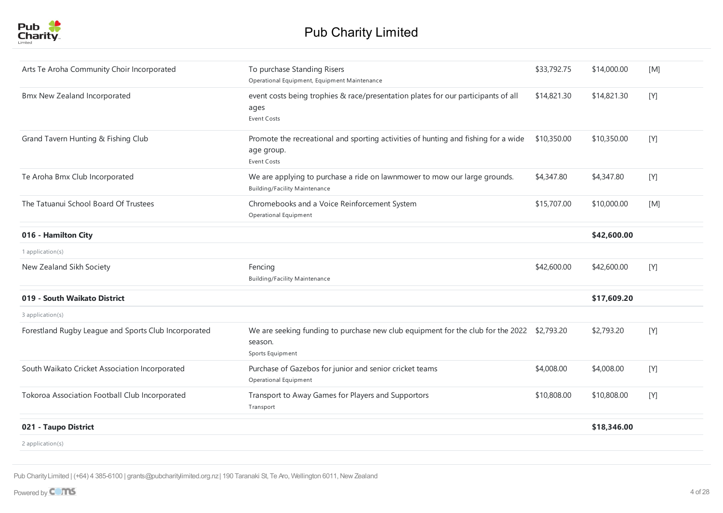

| Arts Te Aroha Community Choir Incorporated           | To purchase Standing Risers<br>Operational Equipment, Equipment Maintenance                                               | \$33,792.75 | \$14,000.00 | [M] |
|------------------------------------------------------|---------------------------------------------------------------------------------------------------------------------------|-------------|-------------|-----|
| Bmx New Zealand Incorporated                         | event costs being trophies & race/presentation plates for our participants of all<br>ages<br><b>Event Costs</b>           | \$14,821.30 | \$14,821.30 | [Y] |
| Grand Tavern Hunting & Fishing Club                  | Promote the recreational and sporting activities of hunting and fishing for a wide<br>age group.<br>Event Costs           | \$10,350.00 | \$10,350.00 | [Y] |
| Te Aroha Bmx Club Incorporated                       | We are applying to purchase a ride on lawnmower to mow our large grounds.<br><b>Building/Facility Maintenance</b>         | \$4,347.80  | \$4,347.80  | [Y] |
| The Tatuanui School Board Of Trustees                | Chromebooks and a Voice Reinforcement System<br>Operational Equipment                                                     | \$15,707.00 | \$10,000.00 | [M] |
| 016 - Hamilton City                                  |                                                                                                                           |             | \$42,600.00 |     |
| 1 application(s)                                     |                                                                                                                           |             |             |     |
| New Zealand Sikh Society                             | Fencing<br><b>Building/Facility Maintenance</b>                                                                           | \$42,600.00 | \$42,600.00 | [Y] |
| 019 - South Waikato District                         |                                                                                                                           |             | \$17,609.20 |     |
| 3 application(s)                                     |                                                                                                                           |             |             |     |
| Forestland Rugby League and Sports Club Incorporated | We are seeking funding to purchase new club equipment for the club for the 2022 \$2,793.20<br>season.<br>Sports Equipment |             | \$2,793.20  | [Y] |
| South Waikato Cricket Association Incorporated       | Purchase of Gazebos for junior and senior cricket teams<br>Operational Equipment                                          | \$4,008.00  | \$4,008.00  | [Y] |
| Tokoroa Association Football Club Incorporated       | Transport to Away Games for Players and Supportors<br>Transport                                                           | \$10,808.00 | \$10,808.00 | [Y] |
| 021 - Taupo District                                 |                                                                                                                           |             | \$18,346.00 |     |
| 2 application(s)                                     |                                                                                                                           |             |             |     |
|                                                      |                                                                                                                           |             |             |     |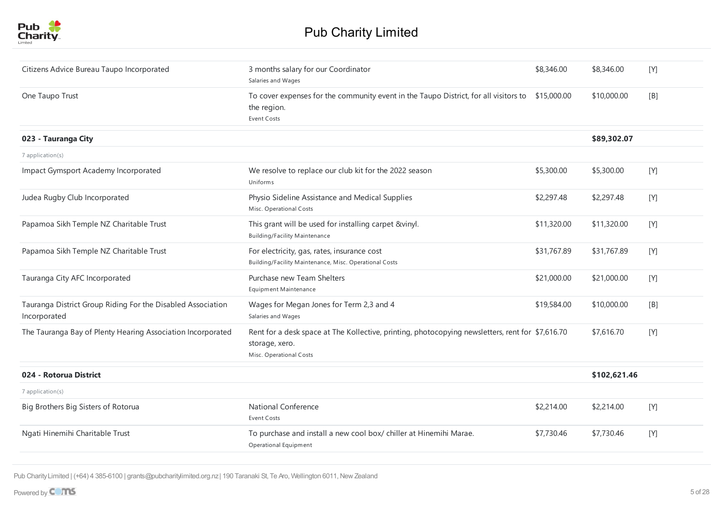

| Citizens Advice Bureau Taupo Incorporated                                   | 3 months salary for our Coordinator<br>Salaries and Wages                                                                                     | \$8,346.00  | \$8,346.00   | [Y] |
|-----------------------------------------------------------------------------|-----------------------------------------------------------------------------------------------------------------------------------------------|-------------|--------------|-----|
| One Taupo Trust                                                             | To cover expenses for the community event in the Taupo District, for all visitors to \$15,000.00<br>the region.<br><b>Event Costs</b>         |             | \$10,000.00  | [B] |
| 023 - Tauranga City                                                         |                                                                                                                                               |             | \$89,302.07  |     |
| 7 application(s)                                                            |                                                                                                                                               |             |              |     |
| Impact Gymsport Academy Incorporated                                        | We resolve to replace our club kit for the 2022 season<br><b>Uniforms</b>                                                                     | \$5,300.00  | \$5,300.00   | [Y] |
| Judea Rugby Club Incorporated                                               | Physio Sideline Assistance and Medical Supplies<br>Misc. Operational Costs                                                                    | \$2,297.48  | \$2,297.48   | [Y] |
| Papamoa Sikh Temple NZ Charitable Trust                                     | This grant will be used for installing carpet &vinyl.<br><b>Building/Facility Maintenance</b>                                                 | \$11,320.00 | \$11,320.00  | [Y] |
| Papamoa Sikh Temple NZ Charitable Trust                                     | For electricity, gas, rates, insurance cost<br>Building/Facility Maintenance, Misc. Operational Costs                                         | \$31,767.89 | \$31,767.89  | [Y] |
| Tauranga City AFC Incorporated                                              | Purchase new Team Shelters<br>Equipment Maintenance                                                                                           | \$21,000.00 | \$21,000.00  | [Y] |
| Tauranga District Group Riding For the Disabled Association<br>Incorporated | Wages for Megan Jones for Term 2,3 and 4<br>Salaries and Wages                                                                                | \$19,584.00 | \$10,000.00  | [B] |
| The Tauranga Bay of Plenty Hearing Association Incorporated                 | Rent for a desk space at The Kollective, printing, photocopying newsletters, rent for \$7,616.70<br>storage, xero.<br>Misc. Operational Costs |             | \$7,616.70   | [Y] |
| 024 - Rotorua District                                                      |                                                                                                                                               |             | \$102,621.46 |     |
| 7 application(s)                                                            |                                                                                                                                               |             |              |     |
| Big Brothers Big Sisters of Rotorua                                         | <b>National Conference</b><br><b>Event Costs</b>                                                                                              | \$2,214.00  | \$2,214.00   | [Y] |
| Ngati Hinemihi Charitable Trust                                             | To purchase and install a new cool box/ chiller at Hinemihi Marae.<br>Operational Equipment                                                   | \$7,730.46  | \$7,730.46   | [Y] |
|                                                                             |                                                                                                                                               |             |              |     |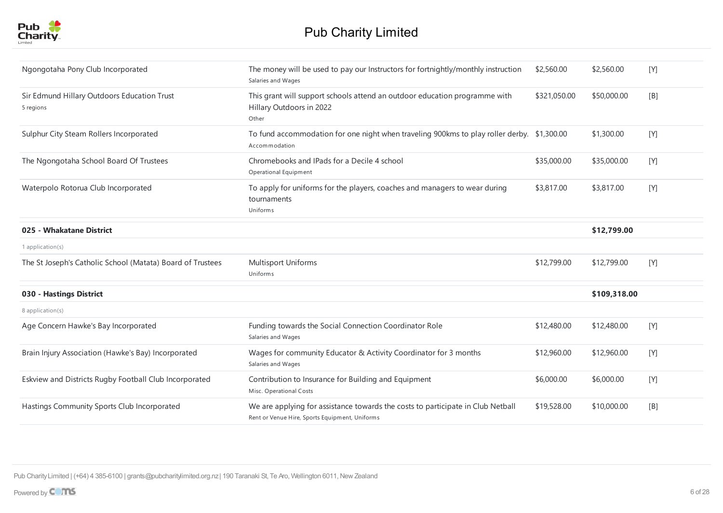

| Ngongotaha Pony Club Incorporated                          | The money will be used to pay our Instructors for fortnightly/monthly instruction<br>Salaries and Wages                           | \$2,560.00   | \$2,560.00   | [Y]     |
|------------------------------------------------------------|-----------------------------------------------------------------------------------------------------------------------------------|--------------|--------------|---------|
| Sir Edmund Hillary Outdoors Education Trust<br>5 regions   | This grant will support schools attend an outdoor education programme with<br>Hillary Outdoors in 2022<br>Other                   | \$321,050.00 | \$50,000.00  | [B]     |
| Sulphur City Steam Rollers Incorporated                    | To fund accommodation for one night when traveling 900kms to play roller derby. \$1,300.00<br>Accommodation                       |              | \$1,300.00   | [Y]     |
| The Ngongotaha School Board Of Trustees                    | Chromebooks and IPads for a Decile 4 school<br>Operational Equipment                                                              | \$35,000.00  | \$35,000.00  | $[Y]$   |
| Waterpolo Rotorua Club Incorporated                        | To apply for uniforms for the players, coaches and managers to wear during<br>tournaments<br>Uniforms                             | \$3,817.00   | \$3,817.00   | [Y]     |
| 025 - Whakatane District                                   |                                                                                                                                   |              | \$12,799.00  |         |
| 1 application $(s)$                                        |                                                                                                                                   |              |              |         |
| The St Joseph's Catholic School (Matata) Board of Trustees | Multisport Uniforms<br>Uniforms                                                                                                   | \$12,799.00  | \$12,799.00  | [Y]     |
| 030 - Hastings District                                    |                                                                                                                                   |              | \$109,318.00 |         |
| 8 application(s)                                           |                                                                                                                                   |              |              |         |
| Age Concern Hawke's Bay Incorporated                       | Funding towards the Social Connection Coordinator Role<br>Salaries and Wages                                                      | \$12,480.00  | \$12,480.00  | [Y]     |
| Brain Injury Association (Hawke's Bay) Incorporated        | Wages for community Educator & Activity Coordinator for 3 months<br>Salaries and Wages                                            | \$12,960.00  | \$12,960.00  | [Y]     |
| Eskview and Districts Rugby Football Club Incorporated     | Contribution to Insurance for Building and Equipment<br>Misc. Operational Costs                                                   | \$6,000.00   | \$6,000.00   | $[ Y ]$ |
| Hastings Community Sports Club Incorporated                | We are applying for assistance towards the costs to participate in Club Netball<br>Rent or Venue Hire, Sports Equipment, Uniforms | \$19,528.00  | \$10,000.00  | [B]     |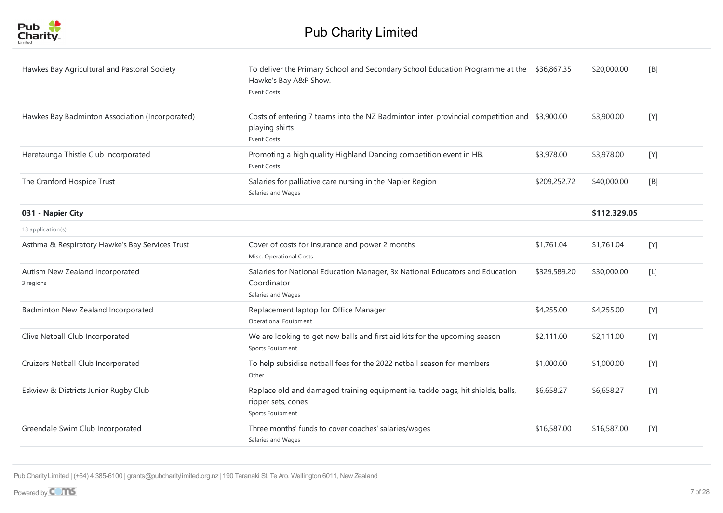

| Hawkes Bay Agricultural and Pastoral Society    | To deliver the Primary School and Secondary School Education Programme at the \$36,867.35<br>Hawke's Bay A&P Show.<br><b>Event Costs</b> |              | \$20,000.00  | [B]   |
|-------------------------------------------------|------------------------------------------------------------------------------------------------------------------------------------------|--------------|--------------|-------|
| Hawkes Bay Badminton Association (Incorporated) | Costs of entering 7 teams into the NZ Badminton inter-provincial competition and \$3,900.00<br>playing shirts<br><b>Event Costs</b>      |              | \$3,900.00   | [Y]   |
| Heretaunga Thistle Club Incorporated            | Promoting a high quality Highland Dancing competition event in HB.<br><b>Event Costs</b>                                                 | \$3,978.00   | \$3,978.00   | [Y]   |
| The Cranford Hospice Trust                      | Salaries for palliative care nursing in the Napier Region<br>Salaries and Wages                                                          | \$209,252.72 | \$40,000.00  | [B]   |
| 031 - Napier City                               |                                                                                                                                          |              | \$112,329.05 |       |
| 13 application(s)                               |                                                                                                                                          |              |              |       |
| Asthma & Respiratory Hawke's Bay Services Trust | Cover of costs for insurance and power 2 months<br>Misc. Operational Costs                                                               | \$1,761.04   | \$1,761.04   | [Y]   |
| Autism New Zealand Incorporated<br>3 regions    | Salaries for National Education Manager, 3x National Educators and Education<br>Coordinator<br>Salaries and Wages                        | \$329,589.20 | \$30,000.00  | $[L]$ |
| Badminton New Zealand Incorporated              | Replacement laptop for Office Manager<br>Operational Equipment                                                                           | \$4,255.00   | \$4,255.00   | [Y]   |
| Clive Netball Club Incorporated                 | We are looking to get new balls and first aid kits for the upcoming season<br>Sports Equipment                                           | \$2,111.00   | \$2,111.00   | [Y]   |
| Cruizers Netball Club Incorporated              | To help subsidise netball fees for the 2022 netball season for members<br>Other                                                          | \$1,000.00   | \$1,000.00   | $[Y]$ |
| Eskview & Districts Junior Rugby Club           | Replace old and damaged training equipment ie. tackle bags, hit shields, balls,<br>ripper sets, cones<br>Sports Equipment                | \$6,658.27   | \$6,658.27   | [Y]   |
| Greendale Swim Club Incorporated                | Three months' funds to cover coaches' salaries/wages<br>Salaries and Wages                                                               | \$16,587.00  | \$16,587.00  | [Y]   |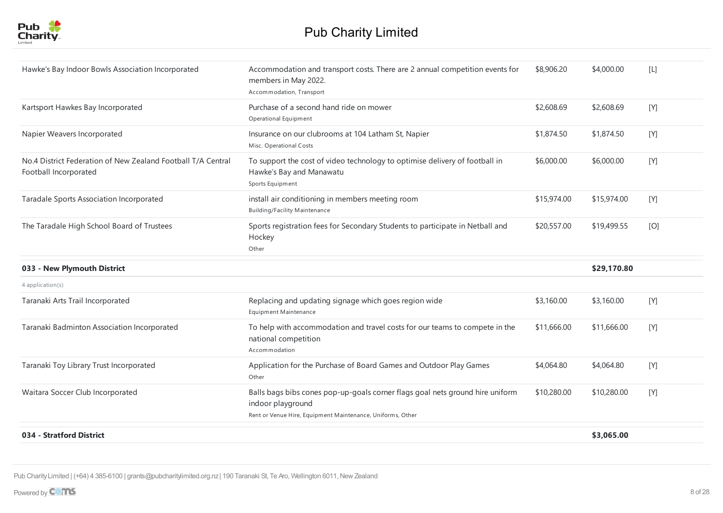

| Hawke's Bay Indoor Bowls Association Incorporated                                     | Accommodation and transport costs. There are 2 annual competition events for<br>members in May 2022.<br>Accommodation, Transport                                 | \$8,906.20  | \$4,000.00  | $[ \, \mathsf{L} \, ]$ |
|---------------------------------------------------------------------------------------|------------------------------------------------------------------------------------------------------------------------------------------------------------------|-------------|-------------|------------------------|
| Kartsport Hawkes Bay Incorporated                                                     | Purchase of a second hand ride on mower<br>Operational Equipment                                                                                                 | \$2,608.69  | \$2,608.69  | [Y]                    |
| Napier Weavers Incorporated                                                           | Insurance on our clubrooms at 104 Latham St, Napier<br>Misc. Operational Costs                                                                                   | \$1,874.50  | \$1,874.50  | [Y]                    |
| No.4 District Federation of New Zealand Football T/A Central<br>Football Incorporated | To support the cost of video technology to optimise delivery of football in<br>Hawke's Bay and Manawatu<br>Sports Equipment                                      | \$6,000.00  | \$6,000.00  | [Y]                    |
| Taradale Sports Association Incorporated                                              | install air conditioning in members meeting room<br><b>Building/Facility Maintenance</b>                                                                         | \$15,974.00 | \$15,974.00 | [Y]                    |
| The Taradale High School Board of Trustees                                            | Sports registration fees for Secondary Students to participate in Netball and<br>Hockey<br>Other                                                                 | \$20,557.00 | \$19,499.55 | [O]                    |
| 033 - New Plymouth District                                                           |                                                                                                                                                                  |             | \$29,170.80 |                        |
| 4 application(s)                                                                      |                                                                                                                                                                  |             |             |                        |
| Taranaki Arts Trail Incorporated                                                      | Replacing and updating signage which goes region wide<br>Equipment Maintenance                                                                                   | \$3,160.00  | \$3,160.00  | [Y]                    |
| Taranaki Badminton Association Incorporated                                           | To help with accommodation and travel costs for our teams to compete in the<br>national competition<br>Accommodation                                             | \$11,666.00 | \$11,666.00 | [Y]                    |
| Taranaki Toy Library Trust Incorporated                                               | Application for the Purchase of Board Games and Outdoor Play Games<br>Other                                                                                      | \$4,064.80  | \$4,064.80  | [Y]                    |
| Waitara Soccer Club Incorporated                                                      | Balls bags bibs cones pop-up-goals corner flags goal nets ground hire uniform<br>indoor playground<br>Rent or Venue Hire, Equipment Maintenance, Uniforms, Other | \$10,280.00 | \$10,280.00 | [Y]                    |
| 034 - Stratford District                                                              |                                                                                                                                                                  |             | \$3,065.00  |                        |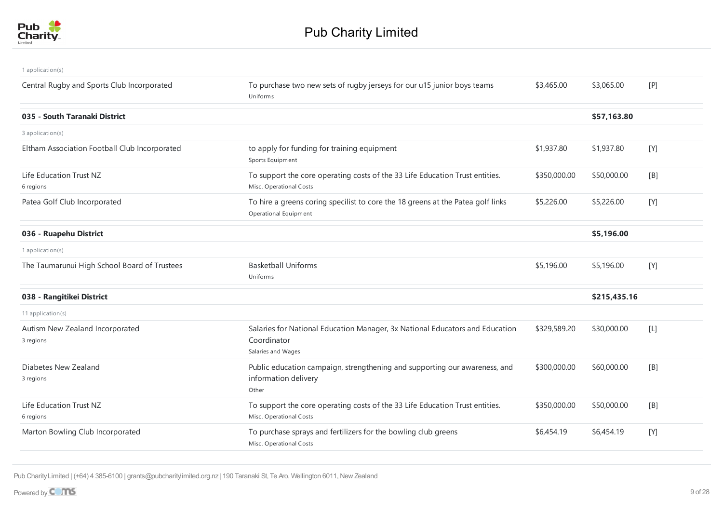

| 1 application(s)                              |                                                                                                                   |              |              |                 |
|-----------------------------------------------|-------------------------------------------------------------------------------------------------------------------|--------------|--------------|-----------------|
| Central Rugby and Sports Club Incorporated    | To purchase two new sets of rugby jerseys for our u15 junior boys teams<br>Uniforms                               | \$3,465.00   | \$3,065.00   | [P]             |
| 035 - South Taranaki District                 |                                                                                                                   |              | \$57,163.80  |                 |
| 3 application(s)                              |                                                                                                                   |              |              |                 |
| Eltham Association Football Club Incorporated | to apply for funding for training equipment<br>Sports Equipment                                                   | \$1,937.80   | \$1,937.80   | [Y]             |
| Life Education Trust NZ<br>6 regions          | To support the core operating costs of the 33 Life Education Trust entities.<br>Misc. Operational Costs           | \$350,000.00 | \$50,000.00  | [B]             |
| Patea Golf Club Incorporated                  | To hire a greens coring specilist to core the 18 greens at the Patea golf links<br>Operational Equipment          | \$5,226.00   | \$5,226.00   | $[Y]$           |
| 036 - Ruapehu District                        |                                                                                                                   |              | \$5,196.00   |                 |
| 1 application(s)                              |                                                                                                                   |              |              |                 |
| The Taumarunui High School Board of Trustees  | <b>Basketball Uniforms</b><br>Uniforms                                                                            | \$5,196.00   | \$5,196.00   | [Y]             |
| 038 - Rangitikei District                     |                                                                                                                   |              | \$215,435.16 |                 |
| 11 application(s)                             |                                                                                                                   |              |              |                 |
| Autism New Zealand Incorporated<br>3 regions  | Salaries for National Education Manager, 3x National Educators and Education<br>Coordinator<br>Salaries and Wages | \$329,589.20 | \$30,000.00  | $[{\mathsf L}]$ |
| Diabetes New Zealand<br>3 regions             | Public education campaign, strengthening and supporting our awareness, and<br>information delivery<br>Other       | \$300,000.00 | \$60,000.00  | [B]             |
| Life Education Trust NZ<br>6 regions          | To support the core operating costs of the 33 Life Education Trust entities.<br>Misc. Operational Costs           | \$350,000.00 | \$50,000.00  | [B]             |
| Marton Bowling Club Incorporated              | To purchase sprays and fertilizers for the bowling club greens<br>Misc. Operational Costs                         | \$6,454.19   | \$6,454.19   | [Y]             |
|                                               |                                                                                                                   |              |              |                 |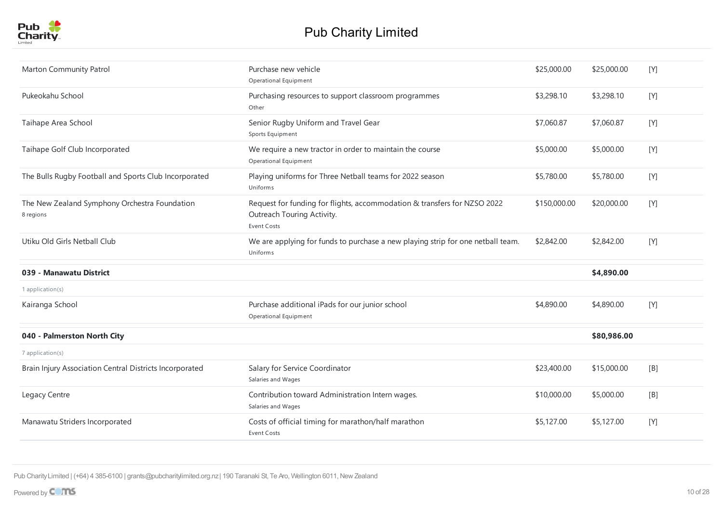

| Marton Community Patrol                                    | Purchase new vehicle<br>Operational Equipment                                                                                | \$25,000.00  | \$25,000.00 | [Y] |
|------------------------------------------------------------|------------------------------------------------------------------------------------------------------------------------------|--------------|-------------|-----|
| Pukeokahu School                                           | Purchasing resources to support classroom programmes<br>Other                                                                | \$3,298.10   | \$3,298.10  | [Y] |
| Taihape Area School                                        | Senior Rugby Uniform and Travel Gear<br>Sports Equipment                                                                     | \$7,060.87   | \$7,060.87  | [Y] |
| Taihape Golf Club Incorporated                             | We require a new tractor in order to maintain the course<br>Operational Equipment                                            | \$5,000.00   | \$5,000.00  | [Y] |
| The Bulls Rugby Football and Sports Club Incorporated      | Playing uniforms for Three Netball teams for 2022 season<br>Uniforms                                                         | \$5,780.00   | \$5,780.00  | [Y] |
| The New Zealand Symphony Orchestra Foundation<br>8 regions | Request for funding for flights, accommodation & transfers for NZSO 2022<br>Outreach Touring Activity.<br><b>Event Costs</b> | \$150,000.00 | \$20,000.00 | [Y] |
| Utiku Old Girls Netball Club                               | We are applying for funds to purchase a new playing strip for one netball team.<br>Uniforms                                  | \$2,842.00   | \$2,842.00  | [Y] |
| 039 - Manawatu District                                    |                                                                                                                              |              | \$4,890.00  |     |
| 1 application(s)                                           |                                                                                                                              |              |             |     |
| Kairanga School                                            | Purchase additional iPads for our junior school<br>Operational Equipment                                                     | \$4,890.00   | \$4,890.00  | [Y] |
| 040 - Palmerston North City                                |                                                                                                                              |              | \$80,986.00 |     |
| 7 application(s)                                           |                                                                                                                              |              |             |     |
| Brain Injury Association Central Districts Incorporated    | Salary for Service Coordinator<br>Salaries and Wages                                                                         | \$23,400.00  | \$15,000.00 | [B] |
| Legacy Centre                                              | Contribution toward Administration Intern wages.<br>Salaries and Wages                                                       | \$10,000.00  | \$5,000.00  | [B] |
| Manawatu Striders Incorporated                             | Costs of official timing for marathon/half marathon<br><b>Event Costs</b>                                                    | \$5,127.00   | \$5,127.00  | [Y] |
|                                                            |                                                                                                                              |              |             |     |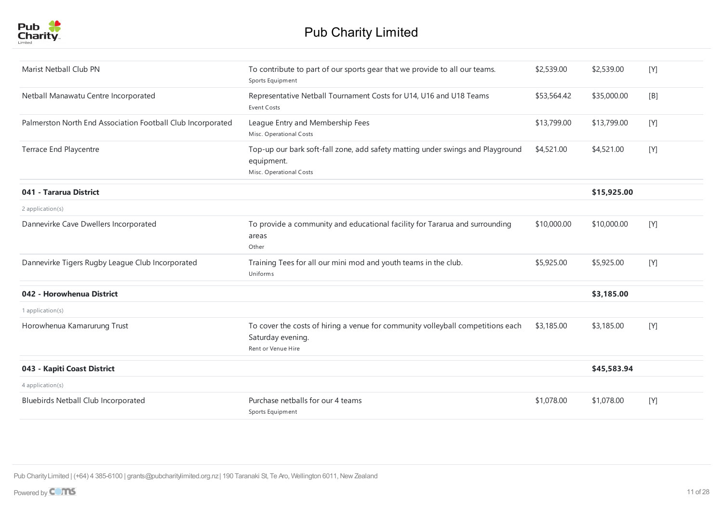| Marist Netball Club PN                                      | To contribute to part of our sports gear that we provide to all our teams.<br>Sports Equipment                             | \$2,539.00  | \$2,539.00  | [Y]   |
|-------------------------------------------------------------|----------------------------------------------------------------------------------------------------------------------------|-------------|-------------|-------|
| Netball Manawatu Centre Incorporated                        | Representative Netball Tournament Costs for U14, U16 and U18 Teams<br>Event Costs                                          | \$53,564.42 | \$35,000.00 | [B]   |
| Palmerston North End Association Football Club Incorporated | League Entry and Membership Fees<br>Misc. Operational Costs                                                                | \$13,799.00 | \$13,799.00 | [Y]   |
| Terrace End Playcentre                                      | Top-up our bark soft-fall zone, add safety matting under swings and Playground<br>equipment.<br>Misc. Operational Costs    | \$4,521.00  | \$4,521.00  | [Y]   |
| 041 - Tararua District                                      |                                                                                                                            |             | \$15,925.00 |       |
| 2 application(s)                                            |                                                                                                                            |             |             |       |
| Dannevirke Cave Dwellers Incorporated                       | To provide a community and educational facility for Tararua and surrounding<br>areas<br>Other                              | \$10,000.00 | \$10,000.00 | [Y]   |
| Dannevirke Tigers Rugby League Club Incorporated            | Training Tees for all our mini mod and youth teams in the club.<br>Uniforms                                                | \$5,925.00  | \$5,925.00  | $[Y]$ |
| 042 - Horowhenua District                                   |                                                                                                                            |             | \$3,185.00  |       |
| 1 application(s)                                            |                                                                                                                            |             |             |       |
| Horowhenua Kamarurung Trust                                 | To cover the costs of hiring a venue for community volleyball competitions each<br>Saturday evening.<br>Rent or Venue Hire | \$3,185.00  | \$3,185.00  | [Y]   |
| 043 - Kapiti Coast District                                 |                                                                                                                            |             | \$45,583.94 |       |
| 4 application(s)                                            |                                                                                                                            |             |             |       |
| Bluebirds Netball Club Incorporated                         | Purchase netballs for our 4 teams<br>Sports Equipment                                                                      | \$1,078.00  | \$1,078.00  | [Y]   |
|                                                             |                                                                                                                            |             |             |       |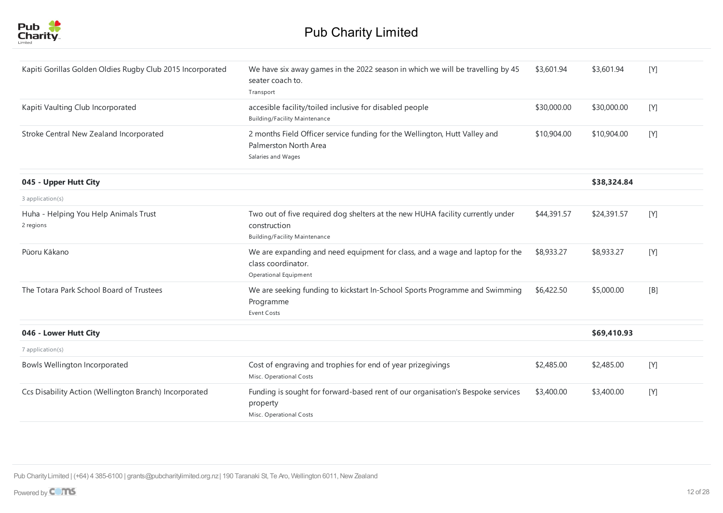

| Kapiti Gorillas Golden Oldies Rugby Club 2015 Incorporated | We have six away games in the 2022 season in which we will be travelling by 45<br>seater coach to.<br>Transport                        | \$3,601.94  | \$3,601.94  | [Y] |
|------------------------------------------------------------|----------------------------------------------------------------------------------------------------------------------------------------|-------------|-------------|-----|
| Kapiti Vaulting Club Incorporated                          | accesible facility/toiled inclusive for disabled people<br><b>Building/Facility Maintenance</b>                                        | \$30,000.00 | \$30,000.00 | [Y] |
| Stroke Central New Zealand Incorporated                    | 2 months Field Officer service funding for the Wellington, Hutt Valley and<br>Palmerston North Area<br>Salaries and Wages              | \$10,904.00 | \$10,904.00 | [Y] |
| 045 - Upper Hutt City                                      |                                                                                                                                        |             | \$38.324.84 |     |
| 3 application(s)                                           |                                                                                                                                        |             |             |     |
| Huha - Helping You Help Animals Trust<br>2 regions         | Two out of five required dog shelters at the new HUHA facility currently under<br>construction<br><b>Building/Facility Maintenance</b> | \$44,391.57 | \$24,391.57 | [Y] |
| Pūoru Kākano                                               | We are expanding and need equipment for class, and a wage and laptop for the<br>class coordinator.<br>Operational Equipment            | \$8,933.27  | \$8,933.27  | [Y] |
| The Totara Park School Board of Trustees                   | We are seeking funding to kickstart In-School Sports Programme and Swimming<br>Programme<br><b>Event Costs</b>                         | \$6,422.50  | \$5,000.00  | [B] |
| 046 - Lower Hutt City                                      |                                                                                                                                        |             | \$69,410.93 |     |
| 7 application(s)                                           |                                                                                                                                        |             |             |     |
| <b>Bowls Wellington Incorporated</b>                       | Cost of engraving and trophies for end of year prizegivings<br>Misc. Operational Costs                                                 | \$2,485.00  | \$2,485.00  | [Y] |
| Ccs Disability Action (Wellington Branch) Incorporated     | Funding is sought for forward-based rent of our organisation's Bespoke services<br>property<br>Misc. Operational Costs                 | \$3,400.00  | \$3,400.00  | [Y] |
|                                                            |                                                                                                                                        |             |             |     |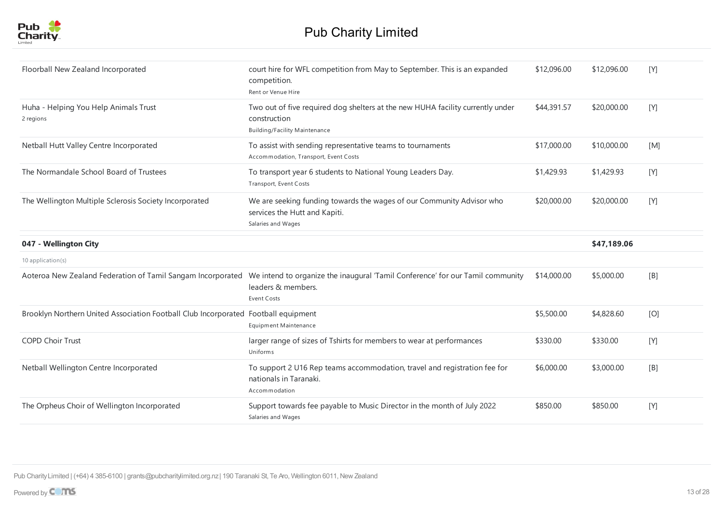

| Floorball New Zealand Incorporated                                                 | court hire for WFL competition from May to September. This is an expanded<br>competition.<br>Rent or Venue Hire                                                                 | \$12,096.00 | \$12,096.00 | [Y] |
|------------------------------------------------------------------------------------|---------------------------------------------------------------------------------------------------------------------------------------------------------------------------------|-------------|-------------|-----|
| Huha - Helping You Help Animals Trust<br>2 regions                                 | Two out of five required dog shelters at the new HUHA facility currently under<br>construction<br><b>Building/Facility Maintenance</b>                                          | \$44,391.57 | \$20,000.00 | [Y] |
| Netball Hutt Valley Centre Incorporated                                            | To assist with sending representative teams to tournaments<br>Accommodation, Transport, Event Costs                                                                             | \$17,000.00 | \$10,000.00 | [M] |
| The Normandale School Board of Trustees                                            | To transport year 6 students to National Young Leaders Day.<br>Transport, Event Costs                                                                                           | \$1,429.93  | \$1,429.93  | [Y] |
| The Wellington Multiple Sclerosis Society Incorporated                             | We are seeking funding towards the wages of our Community Advisor who<br>services the Hutt and Kapiti.<br>Salaries and Wages                                                    | \$20,000.00 | \$20,000.00 | [Y] |
| 047 - Wellington City                                                              |                                                                                                                                                                                 |             | \$47,189.06 |     |
| 10 application(s)                                                                  |                                                                                                                                                                                 |             |             |     |
|                                                                                    | Aoteroa New Zealand Federation of Tamil Sangam Incorporated We intend to organize the inaugural 'Tamil Conference' for our Tamil community<br>leaders & members.<br>Event Costs | \$14,000.00 | \$5,000.00  | [B] |
| Brooklyn Northern United Association Football Club Incorporated Football equipment | Equipment Maintenance                                                                                                                                                           | \$5,500.00  | \$4,828.60  | [O] |
| <b>COPD Choir Trust</b>                                                            | larger range of sizes of Tshirts for members to wear at performances<br>Uniforms                                                                                                | \$330.00    | \$330.00    | [Y] |
| Netball Wellington Centre Incorporated                                             | To support 2 U16 Rep teams accommodation, travel and registration fee for<br>nationals in Taranaki.<br>Accommodation                                                            | \$6,000.00  | \$3,000.00  | [B] |
| The Orpheus Choir of Wellington Incorporated                                       | Support towards fee payable to Music Director in the month of July 2022<br>Salaries and Wages                                                                                   | \$850.00    | \$850.00    | [Y] |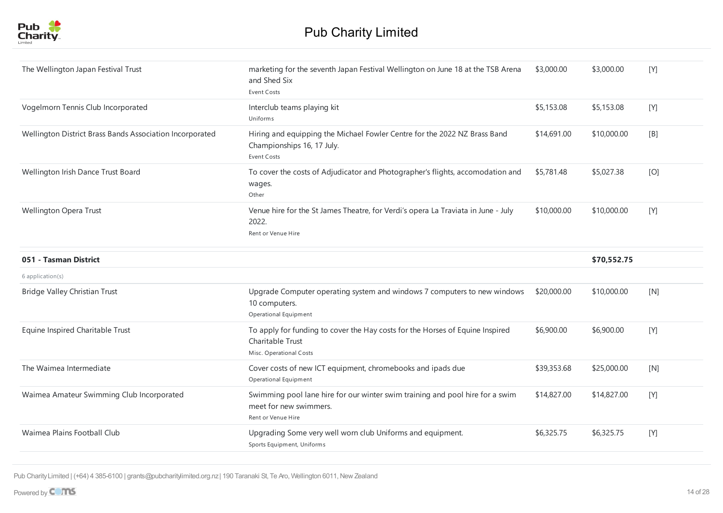

| The Wellington Japan Festival Trust                      | marketing for the seventh Japan Festival Wellington on June 18 at the TSB Arena<br>and Shed Six<br><b>Event Costs</b>         | \$3,000.00  | \$3,000.00  | [Y] |
|----------------------------------------------------------|-------------------------------------------------------------------------------------------------------------------------------|-------------|-------------|-----|
| Vogelmorn Tennis Club Incorporated                       | Interclub teams playing kit<br>Uniforms                                                                                       | \$5,153.08  | \$5,153.08  | [Y] |
| Wellington District Brass Bands Association Incorporated | Hiring and equipping the Michael Fowler Centre for the 2022 NZ Brass Band<br>Championships 16, 17 July.<br><b>Event Costs</b> | \$14,691.00 | \$10,000.00 | [B] |
| Wellington Irish Dance Trust Board                       | To cover the costs of Adjudicator and Photographer's flights, accomodation and<br>wages.<br>Other                             | \$5,781.48  | \$5,027.38  | [O] |
| Wellington Opera Trust                                   | Venue hire for the St James Theatre, for Verdi's opera La Traviata in June - July<br>2022.<br>Rent or Venue Hire              | \$10,000.00 | \$10,000.00 | [Y] |
| 051 - Tasman District                                    |                                                                                                                               |             | \$70,552.75 |     |
| 6 application(s)                                         |                                                                                                                               |             |             |     |
| <b>Bridge Valley Christian Trust</b>                     | Upgrade Computer operating system and windows 7 computers to new windows<br>10 computers.<br>Operational Equipment            | \$20,000.00 | \$10,000.00 | [N] |
| Equine Inspired Charitable Trust                         | To apply for funding to cover the Hay costs for the Horses of Equine Inspired<br>Charitable Trust<br>Misc. Operational Costs  | \$6,900.00  | \$6,900.00  | [Y] |
| The Waimea Intermediate                                  | Cover costs of new ICT equipment, chromebooks and ipads due<br>Operational Equipment                                          | \$39,353.68 | \$25,000.00 | [N] |
| Waimea Amateur Swimming Club Incorporated                | Swimming pool lane hire for our winter swim training and pool hire for a swim<br>meet for new swimmers.<br>Rent or Venue Hire | \$14,827.00 | \$14,827.00 | [Y] |
| Waimea Plains Football Club                              | Upgrading Some very well worn club Uniforms and equipment.<br>Sports Equipment, Uniforms                                      | \$6,325.75  | \$6,325.75  | [Y] |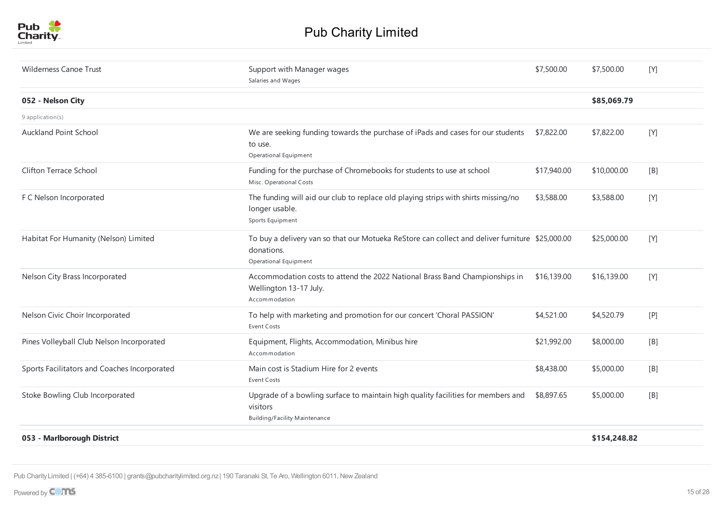

| <b>Wilderness Canoe Trust</b>                | Support with Manager wages<br>Salaries and Wages                                                                                       | \$7,500.00  | \$7,500.00   | [Y] |
|----------------------------------------------|----------------------------------------------------------------------------------------------------------------------------------------|-------------|--------------|-----|
| 052 - Nelson City                            |                                                                                                                                        |             | \$85,069.79  |     |
| 9 application(s)                             |                                                                                                                                        |             |              |     |
| <b>Auckland Point School</b>                 | We are seeking funding towards the purchase of iPads and cases for our students<br>to use.<br>Operational Equipment                    | \$7,822.00  | \$7,822.00   | [Y] |
| Clifton Terrace School                       | Funding for the purchase of Chromebooks for students to use at school<br>Misc. Operational Costs                                       | \$17,940.00 | \$10,000.00  | [B] |
| F C Nelson Incorporated                      | The funding will aid our club to replace old playing strips with shirts missing/no<br>longer usable.<br>Sports Equipment               | \$3,588.00  | \$3,588.00   | [Y] |
| Habitat For Humanity (Nelson) Limited        | To buy a delivery van so that our Motueka ReStore can collect and deliver furniture \$25,000.00<br>donations.<br>Operational Equipment |             | \$25,000.00  | [Y] |
| Nelson City Brass Incorporated               | Accommodation costs to attend the 2022 National Brass Band Championships in<br>Wellington 13-17 July.<br>Accommodation                 | \$16,139.00 | \$16,139.00  | [Y] |
| Nelson Civic Choir Incorporated              | To help with marketing and promotion for our concert 'Choral PASSION'<br><b>Event Costs</b>                                            | \$4,521.00  | \$4,520.79   | [P] |
| Pines Volleyball Club Nelson Incorporated    | Equipment, Flights, Accommodation, Minibus hire<br>Accommodation                                                                       | \$21,992.00 | \$8,000.00   | [B] |
| Sports Facilitators and Coaches Incorporated | Main cost is Stadium Hire for 2 events<br><b>Event Costs</b>                                                                           | \$8,438.00  | \$5,000.00   | [B] |
| Stoke Bowling Club Incorporated              | Upgrade of a bowling surface to maintain high quality facilities for members and<br>visitors<br><b>Building/Facility Maintenance</b>   | \$8,897.65  | \$5,000.00   | [B] |
| 053 - Marlborough District                   |                                                                                                                                        |             | \$154,248.82 |     |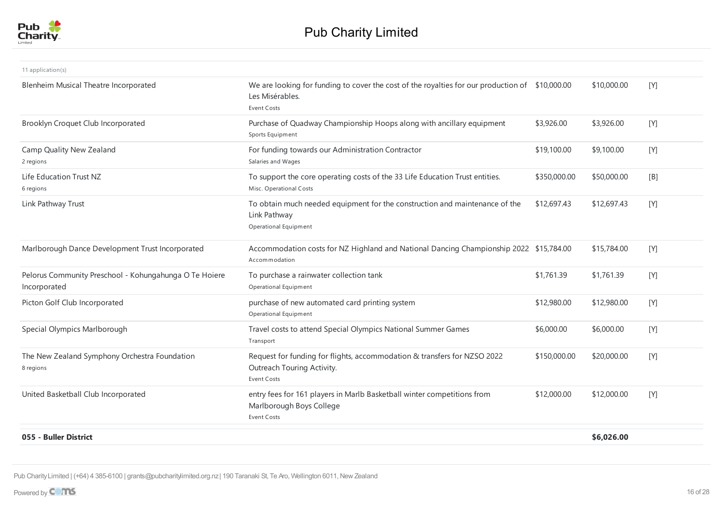

| 11 application(s)                                                      |                                                                                                                                          |              |             |       |
|------------------------------------------------------------------------|------------------------------------------------------------------------------------------------------------------------------------------|--------------|-------------|-------|
| Blenheim Musical Theatre Incorporated                                  | We are looking for funding to cover the cost of the royalties for our production of \$10,000.00<br>Les Misérables.<br><b>Event Costs</b> |              | \$10,000.00 | [Y]   |
| Brooklyn Croquet Club Incorporated                                     | Purchase of Quadway Championship Hoops along with ancillary equipment<br>Sports Equipment                                                | \$3,926.00   | \$3,926.00  | [Y]   |
| Camp Quality New Zealand<br>2 regions                                  | For funding towards our Administration Contractor<br>Salaries and Wages                                                                  | \$19,100.00  | \$9,100.00  | [Y]   |
| Life Education Trust NZ<br>6 regions                                   | To support the core operating costs of the 33 Life Education Trust entities.<br>Misc. Operational Costs                                  | \$350,000.00 | \$50,000.00 | [B]   |
| Link Pathway Trust                                                     | To obtain much needed equipment for the construction and maintenance of the<br>Link Pathway<br>Operational Equipment                     | \$12,697.43  | \$12,697.43 | [Y]   |
| Marlborough Dance Development Trust Incorporated                       | Accommodation costs for NZ Highland and National Dancing Championship 2022 \$15,784.00<br>Accommodation                                  |              | \$15,784.00 | $[Y]$ |
| Pelorus Community Preschool - Kohungahunga O Te Hoiere<br>Incorporated | To purchase a rainwater collection tank<br>Operational Equipment                                                                         | \$1,761.39   | \$1,761.39  | [Y]   |
| Picton Golf Club Incorporated                                          | purchase of new automated card printing system<br>Operational Equipment                                                                  | \$12,980.00  | \$12,980.00 | [Y]   |
| Special Olympics Marlborough                                           | Travel costs to attend Special Olympics National Summer Games<br>Transport                                                               | \$6,000.00   | \$6,000.00  | [Y]   |
| The New Zealand Symphony Orchestra Foundation<br>8 regions             | Request for funding for flights, accommodation & transfers for NZSO 2022<br>Outreach Touring Activity.<br>Event Costs                    | \$150,000.00 | \$20,000.00 | [Y]   |
| United Basketball Club Incorporated                                    | entry fees for 161 players in Marlb Basketball winter competitions from<br>Marlborough Boys College<br>Event Costs                       | \$12,000.00  | \$12,000.00 | [Y]   |
| 055 - Buller District                                                  |                                                                                                                                          |              | \$6,026.00  |       |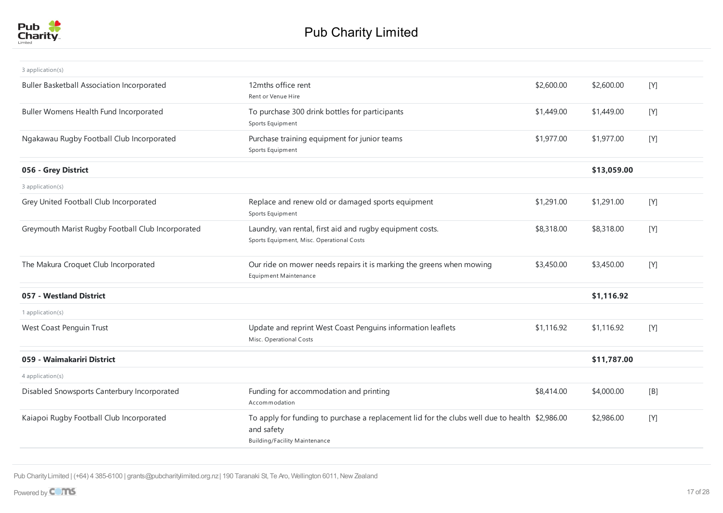

| 3 application(s)                                  |                                                                                                                                                      |            |             |       |
|---------------------------------------------------|------------------------------------------------------------------------------------------------------------------------------------------------------|------------|-------------|-------|
| <b>Buller Basketball Association Incorporated</b> | 12mths office rent<br>Rent or Venue Hire                                                                                                             | \$2,600.00 | \$2,600.00  | [Y]   |
| Buller Womens Health Fund Incorporated            | To purchase 300 drink bottles for participants<br>Sports Equipment                                                                                   | \$1,449.00 | \$1,449.00  | [Y]   |
| Ngakawau Rugby Football Club Incorporated         | Purchase training equipment for junior teams<br>Sports Equipment                                                                                     | \$1,977.00 | \$1,977.00  | [Y]   |
| 056 - Grey District                               |                                                                                                                                                      |            | \$13,059.00 |       |
| 3 application(s)                                  |                                                                                                                                                      |            |             |       |
| Grey United Football Club Incorporated            | Replace and renew old or damaged sports equipment<br>Sports Equipment                                                                                | \$1,291.00 | \$1,291.00  | [Y]   |
| Greymouth Marist Rugby Football Club Incorporated | Laundry, van rental, first aid and rugby equipment costs.<br>Sports Equipment, Misc. Operational Costs                                               | \$8,318.00 | \$8,318.00  | $[Y]$ |
| The Makura Croquet Club Incorporated              | Our ride on mower needs repairs it is marking the greens when mowing<br><b>Equipment Maintenance</b>                                                 | \$3,450.00 | \$3,450.00  | [Y]   |
| 057 - Westland District                           |                                                                                                                                                      |            | \$1,116.92  |       |
| 1 application(s)                                  |                                                                                                                                                      |            |             |       |
| West Coast Penguin Trust                          | Update and reprint West Coast Penguins information leaflets<br>Misc. Operational Costs                                                               | \$1,116.92 | \$1,116.92  | [Y]   |
| 059 - Waimakariri District                        |                                                                                                                                                      |            | \$11,787.00 |       |
| 4 application(s)                                  |                                                                                                                                                      |            |             |       |
| Disabled Snowsports Canterbury Incorporated       | Funding for accommodation and printing<br>Accommodation                                                                                              | \$8,414.00 | \$4,000.00  | [B]   |
| Kaiapoi Rugby Football Club Incorporated          | To apply for funding to purchase a replacement lid for the clubs well due to health \$2,986.00<br>and safety<br><b>Building/Facility Maintenance</b> |            | \$2,986.00  | [Y]   |
|                                                   |                                                                                                                                                      |            |             |       |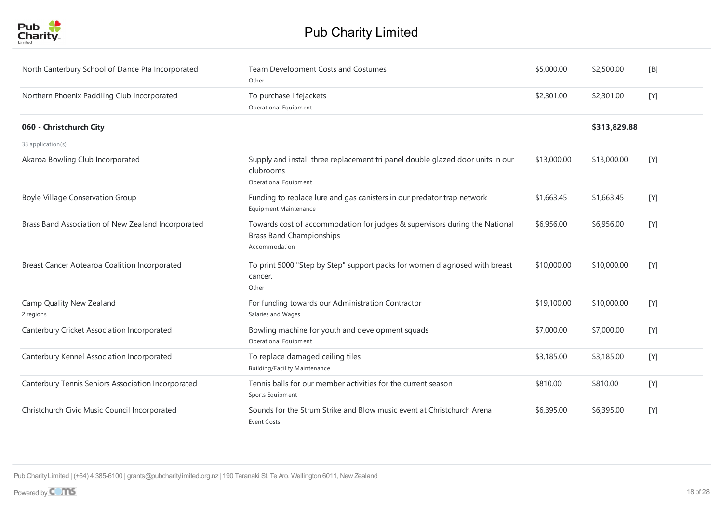

| North Canterbury School of Dance Pta Incorporated  | Team Development Costs and Costumes<br>Other                                                                                   | \$5,000.00  | \$2,500.00   | [B]   |
|----------------------------------------------------|--------------------------------------------------------------------------------------------------------------------------------|-------------|--------------|-------|
| Northern Phoenix Paddling Club Incorporated        | To purchase lifejackets<br>Operational Equipment                                                                               | \$2,301.00  | \$2,301.00   | [Y]   |
| 060 - Christchurch City                            |                                                                                                                                |             | \$313,829.88 |       |
| 33 application(s)                                  |                                                                                                                                |             |              |       |
| Akaroa Bowling Club Incorporated                   | Supply and install three replacement tri panel double glazed door units in our<br>clubrooms<br>Operational Equipment           | \$13,000.00 | \$13,000.00  | [Y]   |
| <b>Boyle Village Conservation Group</b>            | Funding to replace lure and gas canisters in our predator trap network<br><b>Equipment Maintenance</b>                         | \$1,663.45  | \$1,663.45   | [Y]   |
| Brass Band Association of New Zealand Incorporated | Towards cost of accommodation for judges & supervisors during the National<br><b>Brass Band Championships</b><br>Accommodation | \$6,956.00  | \$6,956.00   | [Y]   |
| Breast Cancer Aotearoa Coalition Incorporated      | To print 5000 "Step by Step" support packs for women diagnosed with breast<br>cancer.<br>Other                                 | \$10,000.00 | \$10,000.00  | [Y]   |
| Camp Quality New Zealand<br>2 regions              | For funding towards our Administration Contractor<br>Salaries and Wages                                                        | \$19,100.00 | \$10,000.00  | [Y]   |
| Canterbury Cricket Association Incorporated        | Bowling machine for youth and development squads<br>Operational Equipment                                                      | \$7,000.00  | \$7,000.00   | $[Y]$ |
| Canterbury Kennel Association Incorporated         | To replace damaged ceiling tiles<br><b>Building/Facility Maintenance</b>                                                       | \$3,185.00  | \$3,185.00   | [Y]   |
| Canterbury Tennis Seniors Association Incorporated | Tennis balls for our member activities for the current season<br>Sports Equipment                                              | \$810.00    | \$810.00     | [Y]   |
| Christchurch Civic Music Council Incorporated      | Sounds for the Strum Strike and Blow music event at Christchurch Arena<br><b>Event Costs</b>                                   | \$6,395.00  | \$6,395.00   | [Y]   |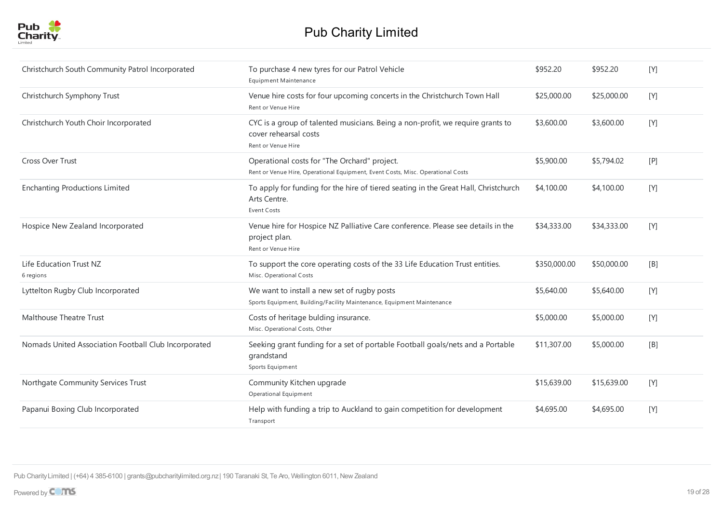

| Christchurch South Community Patrol Incorporated     | To purchase 4 new tyres for our Patrol Vehicle<br><b>Equipment Maintenance</b>                                                  | \$952.20     | \$952.20    | [Y] |
|------------------------------------------------------|---------------------------------------------------------------------------------------------------------------------------------|--------------|-------------|-----|
| Christchurch Symphony Trust                          | Venue hire costs for four upcoming concerts in the Christchurch Town Hall<br>Rent or Venue Hire                                 | \$25,000.00  | \$25,000.00 | [Y] |
| Christchurch Youth Choir Incorporated                | CYC is a group of talented musicians. Being a non-profit, we require grants to<br>cover rehearsal costs<br>Rent or Venue Hire   | \$3,600.00   | \$3,600.00  | [Y] |
| <b>Cross Over Trust</b>                              | Operational costs for "The Orchard" project.<br>Rent or Venue Hire, Operational Equipment, Event Costs, Misc. Operational Costs | \$5,900.00   | \$5,794.02  | [P] |
| <b>Enchanting Productions Limited</b>                | To apply for funding for the hire of tiered seating in the Great Hall, Christchurch<br>Arts Centre.<br>Event Costs              | \$4,100.00   | \$4,100.00  | [Y] |
| Hospice New Zealand Incorporated                     | Venue hire for Hospice NZ Palliative Care conference. Please see details in the<br>project plan.<br>Rent or Venue Hire          | \$34,333.00  | \$34,333.00 | [Y] |
| Life Education Trust NZ<br>6 regions                 | To support the core operating costs of the 33 Life Education Trust entities.<br>Misc. Operational Costs                         | \$350,000.00 | \$50,000.00 | [B] |
| Lyttelton Rugby Club Incorporated                    | We want to install a new set of rugby posts<br>Sports Equipment, Building/Facility Maintenance, Equipment Maintenance           | \$5,640.00   | \$5,640.00  | [Y] |
| Malthouse Theatre Trust                              | Costs of heritage bulding insurance.<br>Misc. Operational Costs, Other                                                          | \$5,000.00   | \$5,000.00  | [Y] |
| Nomads United Association Football Club Incorporated | Seeking grant funding for a set of portable Football goals/nets and a Portable<br>grandstand<br>Sports Equipment                | \$11,307.00  | \$5,000.00  | [B] |
| Northgate Community Services Trust                   | Community Kitchen upgrade<br>Operational Equipment                                                                              | \$15,639.00  | \$15,639.00 | [Y] |
| Papanui Boxing Club Incorporated                     | Help with funding a trip to Auckland to gain competition for development<br>Transport                                           | \$4,695.00   | \$4,695.00  | [Y] |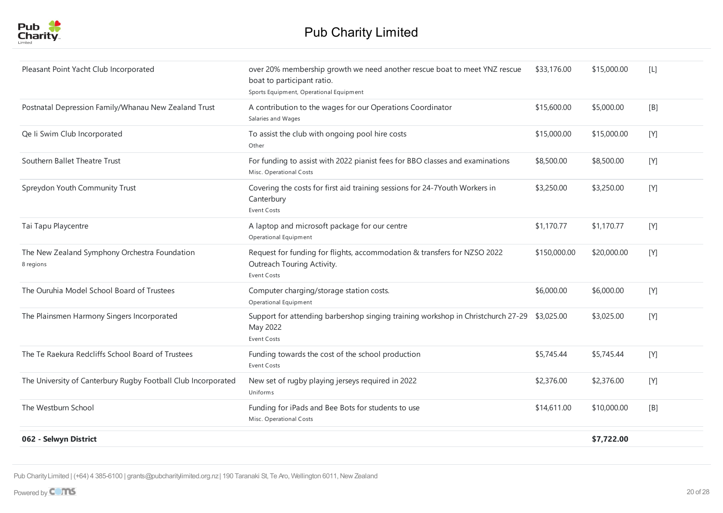

| Pleasant Point Yacht Club Incorporated                        | over 20% membership growth we need another rescue boat to meet YNZ rescue<br>boat to participant ratio.<br>Sports Equipment, Operational Equipment | \$33,176.00  | \$15,000.00 | [L]   |
|---------------------------------------------------------------|----------------------------------------------------------------------------------------------------------------------------------------------------|--------------|-------------|-------|
| Postnatal Depression Family/Whanau New Zealand Trust          | A contribution to the wages for our Operations Coordinator<br>Salaries and Wages                                                                   | \$15,600.00  | \$5,000.00  | [B]   |
| Qe li Swim Club Incorporated                                  | To assist the club with ongoing pool hire costs<br>Other                                                                                           | \$15,000.00  | \$15,000.00 | [Y]   |
| Southern Ballet Theatre Trust                                 | For funding to assist with 2022 pianist fees for BBO classes and examinations<br>Misc. Operational Costs                                           | \$8,500.00   | \$8,500.00  | [Y]   |
| Spreydon Youth Community Trust                                | Covering the costs for first aid training sessions for 24-7Youth Workers in<br>Canterbury<br><b>Event Costs</b>                                    | \$3,250.00   | \$3,250.00  | [Y]   |
| Tai Tapu Playcentre                                           | A laptop and microsoft package for our centre<br>Operational Equipment                                                                             | \$1,170.77   | \$1,170.77  | $[Y]$ |
| The New Zealand Symphony Orchestra Foundation<br>8 regions    | Request for funding for flights, accommodation & transfers for NZSO 2022<br>Outreach Touring Activity.<br>Event Costs                              | \$150,000.00 | \$20,000.00 | [Y]   |
| The Ouruhia Model School Board of Trustees                    | Computer charging/storage station costs.<br>Operational Equipment                                                                                  | \$6,000.00   | \$6,000.00  | [Y]   |
| The Plainsmen Harmony Singers Incorporated                    | Support for attending barbershop singing training workshop in Christchurch 27-29 \$3,025.00<br>May 2022<br>Event Costs                             |              | \$3,025.00  | [Y]   |
| The Te Raekura Redcliffs School Board of Trustees             | Funding towards the cost of the school production<br><b>Event Costs</b>                                                                            | \$5,745.44   | \$5,745.44  | [Y]   |
| The University of Canterbury Rugby Football Club Incorporated | New set of rugby playing jerseys required in 2022<br>Uniforms                                                                                      | \$2,376.00   | \$2,376.00  | [Y]   |
| The Westburn School                                           | Funding for iPads and Bee Bots for students to use<br>Misc. Operational Costs                                                                      | \$14,611.00  | \$10,000.00 | [B]   |
| 062 - Selwyn District                                         |                                                                                                                                                    |              | \$7,722.00  |       |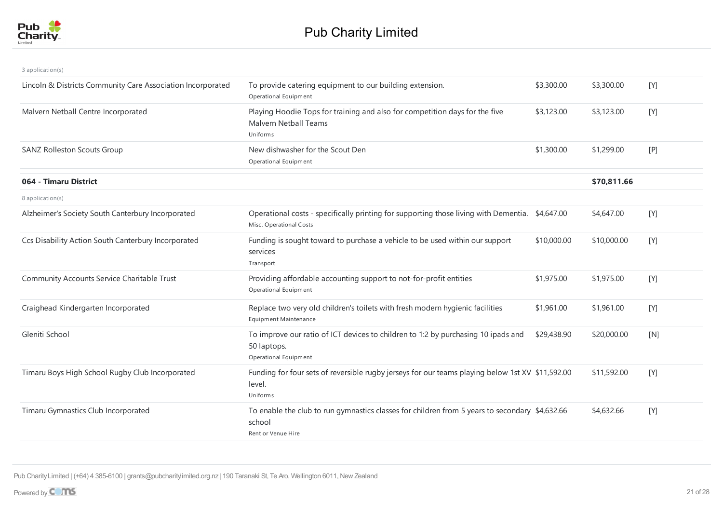

| 3 application(s)                                            |                                                                                                                                |             |             |     |
|-------------------------------------------------------------|--------------------------------------------------------------------------------------------------------------------------------|-------------|-------------|-----|
| Lincoln & Districts Community Care Association Incorporated | To provide catering equipment to our building extension.<br>Operational Equipment                                              | \$3,300.00  | \$3,300.00  | [Y] |
| Malvern Netball Centre Incorporated                         | Playing Hoodie Tops for training and also for competition days for the five<br><b>Malvern Netball Teams</b><br>Uniforms        | \$3,123.00  | \$3,123.00  | [Y] |
| <b>SANZ Rolleston Scouts Group</b>                          | New dishwasher for the Scout Den<br>Operational Equipment                                                                      | \$1,300.00  | \$1,299.00  | [P] |
| 064 - Timaru District                                       |                                                                                                                                |             | \$70,811.66 |     |
| 8 application(s)                                            |                                                                                                                                |             |             |     |
| Alzheimer's Society South Canterbury Incorporated           | Operational costs - specifically printing for supporting those living with Dementia. \$4,647.00<br>Misc. Operational Costs     |             | \$4,647.00  | [Y] |
| Ccs Disability Action South Canterbury Incorporated         | Funding is sought toward to purchase a vehicle to be used within our support<br>services<br>Transport                          | \$10,000.00 | \$10,000.00 | [Y] |
| Community Accounts Service Charitable Trust                 | Providing affordable accounting support to not-for-profit entities<br>Operational Equipment                                    | \$1,975.00  | \$1,975.00  | [Y] |
| Craighead Kindergarten Incorporated                         | Replace two very old children's toilets with fresh modern hygienic facilities<br>Equipment Maintenance                         | \$1,961.00  | \$1,961.00  | [Y] |
| Gleniti School                                              | To improve our ratio of ICT devices to children to 1:2 by purchasing 10 ipads and<br>50 laptops.<br>Operational Equipment      | \$29,438.90 | \$20,000.00 | [N] |
| Timaru Boys High School Rugby Club Incorporated             | Funding for four sets of reversible rugby jerseys for our teams playing below 1st XV \$11,592.00<br>level.<br>Uniforms         |             | \$11,592.00 | [Y] |
| Timaru Gymnastics Club Incorporated                         | To enable the club to run gymnastics classes for children from 5 years to secondary \$4,632.66<br>school<br>Rent or Venue Hire |             | \$4,632.66  | [Y] |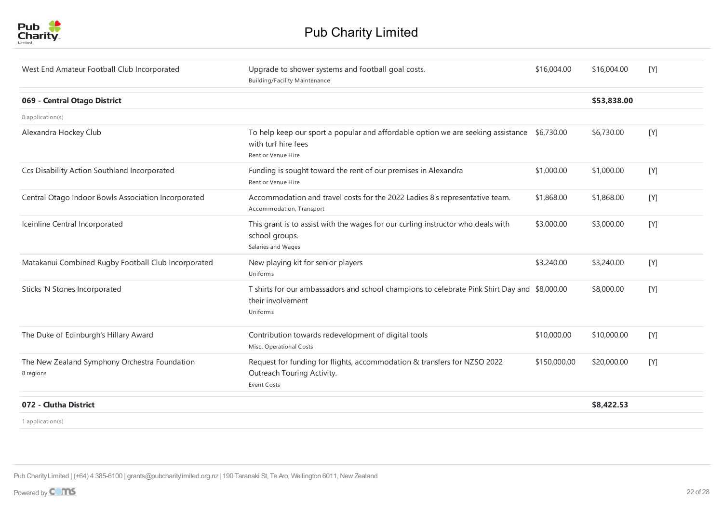

| West End Amateur Football Club Incorporated                | Upgrade to shower systems and football goal costs.<br><b>Building/Facility Maintenance</b>                                               | \$16,004.00  | \$16,004.00 | [Y] |
|------------------------------------------------------------|------------------------------------------------------------------------------------------------------------------------------------------|--------------|-------------|-----|
| 069 - Central Otago District                               |                                                                                                                                          |              | \$53,838.00 |     |
| 8 application(s)                                           |                                                                                                                                          |              |             |     |
| Alexandra Hockey Club                                      | To help keep our sport a popular and affordable option we are seeking assistance \$6,730.00<br>with turf hire fees<br>Rent or Venue Hire |              | \$6,730.00  | [Y] |
| Ccs Disability Action Southland Incorporated               | Funding is sought toward the rent of our premises in Alexandra<br>Rent or Venue Hire                                                     | \$1,000.00   | \$1,000.00  | [Y] |
| Central Otago Indoor Bowls Association Incorporated        | Accommodation and travel costs for the 2022 Ladies 8's representative team.<br>Accommodation, Transport                                  | \$1,868.00   | \$1,868.00  | [Y] |
| Iceinline Central Incorporated                             | This grant is to assist with the wages for our curling instructor who deals with<br>school groups.<br>Salaries and Wages                 | \$3,000.00   | \$3,000.00  | [Y] |
| Matakanui Combined Rugby Football Club Incorporated        | New playing kit for senior players<br>Uniforms                                                                                           | \$3,240.00   | \$3,240.00  | [Y] |
| Sticks 'N Stones Incorporated                              | T shirts for our ambassadors and school champions to celebrate Pink Shirt Day and \$8,000.00<br>their involvement<br><b>Uniforms</b>     |              | \$8,000.00  | [Y] |
| The Duke of Edinburgh's Hillary Award                      | Contribution towards redevelopment of digital tools<br>Misc. Operational Costs                                                           | \$10,000.00  | \$10,000.00 | [Y] |
| The New Zealand Symphony Orchestra Foundation<br>8 regions | Request for funding for flights, accommodation & transfers for NZSO 2022<br>Outreach Touring Activity.<br><b>Event Costs</b>             | \$150,000.00 | \$20,000.00 | [Y] |
| 072 - Clutha District                                      |                                                                                                                                          |              | \$8,422.53  |     |
| 1 application(s)                                           |                                                                                                                                          |              |             |     |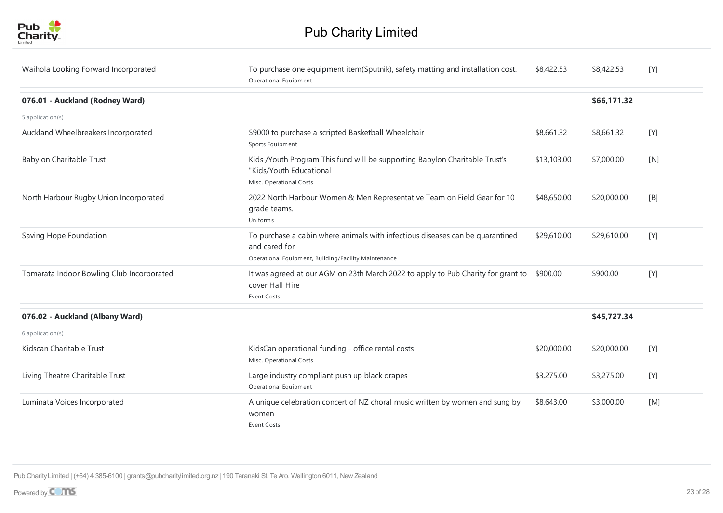

| Waihola Looking Forward Incorporated      | To purchase one equipment item(Sputnik), safety matting and installation cost.<br>Operational Equipment                                                | \$8,422.53  | \$8,422.53  | [Y] |
|-------------------------------------------|--------------------------------------------------------------------------------------------------------------------------------------------------------|-------------|-------------|-----|
| 076.01 - Auckland (Rodney Ward)           |                                                                                                                                                        |             | \$66,171.32 |     |
| 5 application(s)                          |                                                                                                                                                        |             |             |     |
| Auckland Wheelbreakers Incorporated       | \$9000 to purchase a scripted Basketball Wheelchair<br>Sports Equipment                                                                                | \$8,661.32  | \$8,661.32  | [Y] |
| Babylon Charitable Trust                  | Kids /Youth Program This fund will be supporting Babylon Charitable Trust's<br>"Kids/Youth Educational<br>Misc. Operational Costs                      | \$13,103.00 | \$7,000.00  | [N] |
| North Harbour Rugby Union Incorporated    | 2022 North Harbour Women & Men Representative Team on Field Gear for 10<br>grade teams.<br>Uniforms                                                    | \$48,650.00 | \$20,000.00 | [B] |
| Saving Hope Foundation                    | To purchase a cabin where animals with infectious diseases can be quarantined<br>and cared for<br>Operational Equipment, Building/Facility Maintenance | \$29,610.00 | \$29,610.00 | [Y] |
| Tomarata Indoor Bowling Club Incorporated | It was agreed at our AGM on 23th March 2022 to apply to Pub Charity for grant to<br>cover Hall Hire<br>Event Costs                                     | \$900.00    | \$900.00    | [Y] |
| 076.02 - Auckland (Albany Ward)           |                                                                                                                                                        |             | \$45,727.34 |     |
| 6 application(s)                          |                                                                                                                                                        |             |             |     |
| Kidscan Charitable Trust                  | KidsCan operational funding - office rental costs<br>Misc. Operational Costs                                                                           | \$20,000.00 | \$20,000.00 | [Y] |
| Living Theatre Charitable Trust           | Large industry compliant push up black drapes<br>Operational Equipment                                                                                 | \$3,275.00  | \$3,275.00  | [Y] |
| Luminata Voices Incorporated              | A unique celebration concert of NZ choral music written by women and sung by<br>women<br><b>Event Costs</b>                                            | \$8,643.00  | \$3,000.00  | [M] |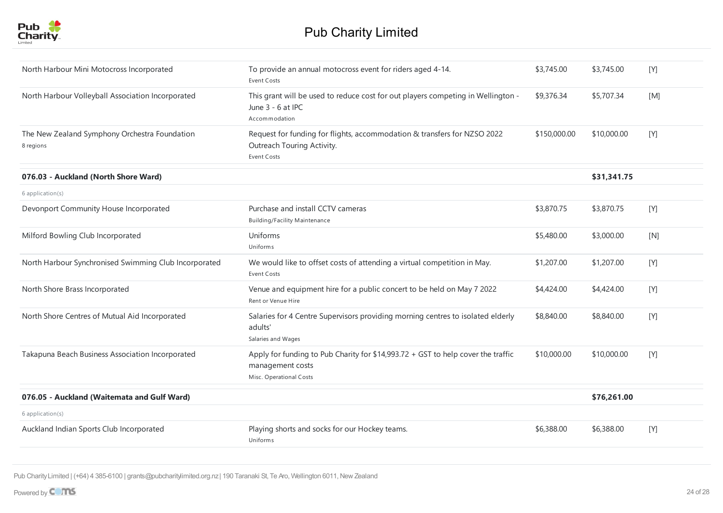

| To provide an annual motocross event for riders aged 4-14.<br><b>Event Costs</b><br>This grant will be used to reduce cost for out players competing in Wellington -<br>June 3 - 6 at IPC<br>Accommodation<br>Request for funding for flights, accommodation & transfers for NZSO 2022<br>Outreach Touring Activity.<br><b>Event Costs</b><br>Purchase and install CCTV cameras | \$3,745.00<br>\$9,376.34<br>\$150,000.00 | \$3,745.00<br>\$5,707.34<br>\$10,000.00<br>\$31,341.75 | [Y]<br>[M]<br>$[Y]$ |
|---------------------------------------------------------------------------------------------------------------------------------------------------------------------------------------------------------------------------------------------------------------------------------------------------------------------------------------------------------------------------------|------------------------------------------|--------------------------------------------------------|---------------------|
|                                                                                                                                                                                                                                                                                                                                                                                 |                                          |                                                        |                     |
|                                                                                                                                                                                                                                                                                                                                                                                 |                                          |                                                        |                     |
|                                                                                                                                                                                                                                                                                                                                                                                 |                                          |                                                        |                     |
|                                                                                                                                                                                                                                                                                                                                                                                 |                                          |                                                        |                     |
|                                                                                                                                                                                                                                                                                                                                                                                 |                                          |                                                        |                     |
| <b>Building/Facility Maintenance</b>                                                                                                                                                                                                                                                                                                                                            | \$3,870.75                               | \$3,870.75                                             | $[Y]$               |
| Uniforms<br><b>Uniforms</b>                                                                                                                                                                                                                                                                                                                                                     | \$5,480.00                               | \$3,000.00                                             | [N]                 |
| We would like to offset costs of attending a virtual competition in May.<br><b>Event Costs</b>                                                                                                                                                                                                                                                                                  | \$1,207.00                               | \$1,207.00                                             | [Y]                 |
| Venue and equipment hire for a public concert to be held on May 7 2022<br>Rent or Venue Hire                                                                                                                                                                                                                                                                                    | \$4,424.00                               | \$4,424.00                                             | [Y]                 |
| Salaries for 4 Centre Supervisors providing morning centres to isolated elderly<br>adults'<br>Salaries and Wages                                                                                                                                                                                                                                                                | \$8,840.00                               | \$8,840.00                                             | $[Y]$               |
| Apply for funding to Pub Charity for \$14,993.72 + GST to help cover the traffic<br>management costs<br>Misc. Operational Costs                                                                                                                                                                                                                                                 | \$10,000.00                              | \$10,000.00                                            | $[Y]$               |
|                                                                                                                                                                                                                                                                                                                                                                                 |                                          | \$76,261.00                                            |                     |
|                                                                                                                                                                                                                                                                                                                                                                                 |                                          |                                                        |                     |
| Playing shorts and socks for our Hockey teams.<br><b>Uniforms</b>                                                                                                                                                                                                                                                                                                               | \$6,388.00                               | \$6,388.00                                             | [Y]                 |
|                                                                                                                                                                                                                                                                                                                                                                                 |                                          |                                                        |                     |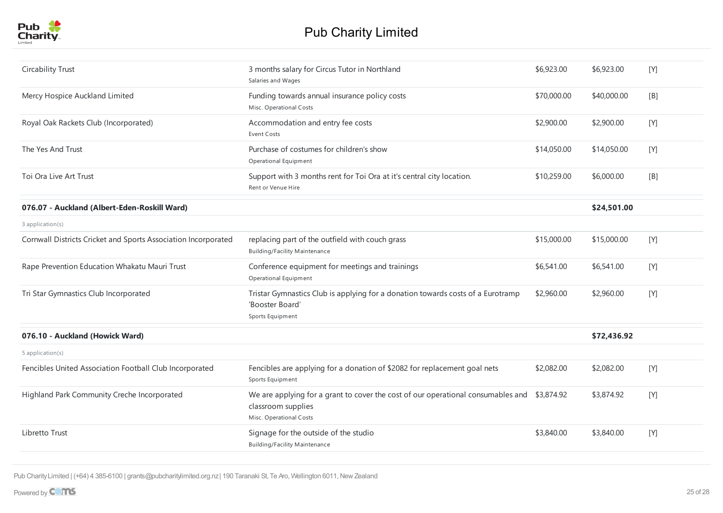

| Circability Trust                                              | 3 months salary for Circus Tutor in Northland<br>Salaries and Wages                                                                          | \$6,923.00  | \$6,923.00  | [Y]   |
|----------------------------------------------------------------|----------------------------------------------------------------------------------------------------------------------------------------------|-------------|-------------|-------|
| Mercy Hospice Auckland Limited                                 | Funding towards annual insurance policy costs<br>Misc. Operational Costs                                                                     | \$70,000.00 | \$40,000.00 | [B]   |
| Royal Oak Rackets Club (Incorporated)                          | Accommodation and entry fee costs<br>Event Costs                                                                                             | \$2,900.00  | \$2,900.00  | [Y]   |
| The Yes And Trust                                              | Purchase of costumes for children's show<br>Operational Equipment                                                                            | \$14,050.00 | \$14,050.00 | [Y]   |
| Toi Ora Live Art Trust                                         | Support with 3 months rent for Toi Ora at it's central city location.<br>Rent or Venue Hire                                                  | \$10,259.00 | \$6,000.00  | [B]   |
| 076.07 - Auckland (Albert-Eden-Roskill Ward)                   |                                                                                                                                              |             | \$24,501.00 |       |
| 3 application(s)                                               |                                                                                                                                              |             |             |       |
| Cornwall Districts Cricket and Sports Association Incorporated | replacing part of the outfield with couch grass<br><b>Building/Facility Maintenance</b>                                                      | \$15,000.00 | \$15,000.00 | [Y]   |
| Rape Prevention Education Whakatu Mauri Trust                  | Conference equipment for meetings and trainings<br>Operational Equipment                                                                     | \$6,541.00  | \$6,541.00  | [Y]   |
| Tri Star Gymnastics Club Incorporated                          | Tristar Gymnastics Club is applying for a donation towards costs of a Eurotramp<br>'Booster Board'<br>Sports Equipment                       | \$2,960.00  | \$2,960.00  | [Y]   |
| 076.10 - Auckland (Howick Ward)                                |                                                                                                                                              |             | \$72,436.92 |       |
| 5 application(s)                                               |                                                                                                                                              |             |             |       |
| Fencibles United Association Football Club Incorporated        | Fencibles are applying for a donation of \$2082 for replacement goal nets<br>Sports Equipment                                                | \$2,082.00  | \$2,082.00  | $[Y]$ |
| Highland Park Community Creche Incorporated                    | We are applying for a grant to cover the cost of our operational consumables and \$3,874.92<br>classroom supplies<br>Misc. Operational Costs |             | \$3,874.92  | [Y]   |
| Libretto Trust                                                 | Signage for the outside of the studio<br><b>Building/Facility Maintenance</b>                                                                | \$3,840.00  | \$3,840.00  | [Y]   |
|                                                                |                                                                                                                                              |             |             |       |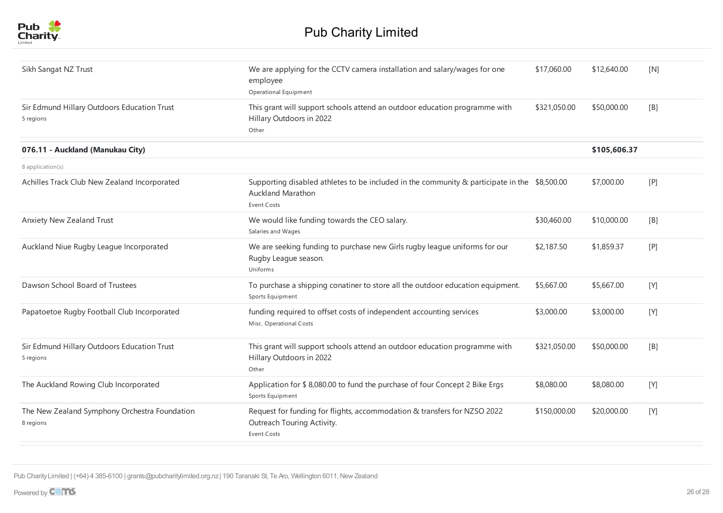

| Sikh Sangat NZ Trust                                       | We are applying for the CCTV camera installation and salary/wages for one<br>employee<br>Operational Equipment                          | \$17,060.00  | \$12,640.00  | [N] |
|------------------------------------------------------------|-----------------------------------------------------------------------------------------------------------------------------------------|--------------|--------------|-----|
| Sir Edmund Hillary Outdoors Education Trust<br>5 regions   | This grant will support schools attend an outdoor education programme with<br>Hillary Outdoors in 2022<br>Other                         | \$321,050.00 | \$50,000.00  | [B] |
| 076.11 - Auckland (Manukau City)                           |                                                                                                                                         |              | \$105,606.37 |     |
| 8 application(s)                                           |                                                                                                                                         |              |              |     |
| Achilles Track Club New Zealand Incorporated               | Supporting disabled athletes to be included in the community & participate in the \$8,500.00<br><b>Auckland Marathon</b><br>Event Costs |              | \$7,000.00   | [P] |
| Anxiety New Zealand Trust                                  | We would like funding towards the CEO salary.<br>Salaries and Wages                                                                     | \$30,460.00  | \$10,000.00  | [B] |
| Auckland Niue Rugby League Incorporated                    | We are seeking funding to purchase new Girls rugby league uniforms for our<br>Rugby League season.<br>Uniforms                          | \$2,187.50   | \$1,859.37   | [P] |
| Dawson School Board of Trustees                            | To purchase a shipping conatiner to store all the outdoor education equipment.<br>Sports Equipment                                      | \$5,667.00   | \$5,667.00   | [Y] |
| Papatoetoe Rugby Football Club Incorporated                | funding required to offset costs of independent accounting services<br>Misc. Operational Costs                                          | \$3,000.00   | \$3,000.00   | [Y] |
| Sir Edmund Hillary Outdoors Education Trust<br>5 regions   | This grant will support schools attend an outdoor education programme with<br>Hillary Outdoors in 2022<br>Other                         | \$321,050.00 | \$50,000.00  | [B] |
| The Auckland Rowing Club Incorporated                      | Application for \$ 8,080.00 to fund the purchase of four Concept 2 Bike Ergs<br>Sports Equipment                                        | \$8,080.00   | \$8,080.00   | [Y] |
| The New Zealand Symphony Orchestra Foundation<br>8 regions | Request for funding for flights, accommodation & transfers for NZSO 2022<br>Outreach Touring Activity.<br>Event Costs                   | \$150,000.00 | \$20,000.00  | [Y] |
|                                                            |                                                                                                                                         |              |              |     |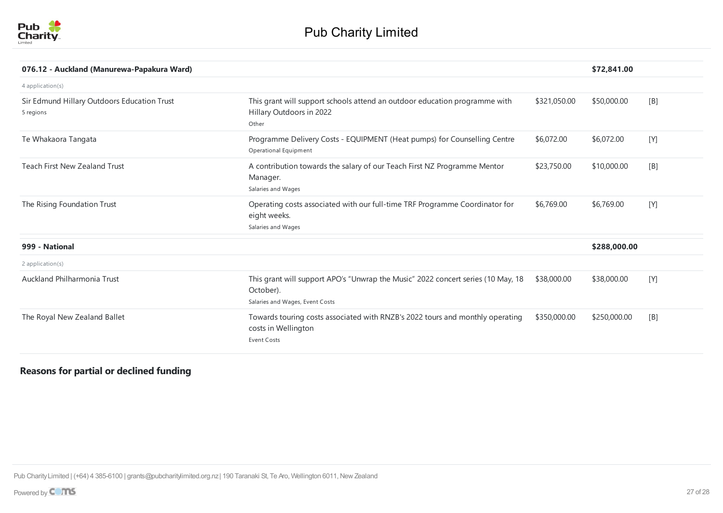

| 076.12 - Auckland (Manurewa-Papakura Ward)               |                                                                                                                                  |              | \$72,841.00  |     |
|----------------------------------------------------------|----------------------------------------------------------------------------------------------------------------------------------|--------------|--------------|-----|
| 4 application(s)                                         |                                                                                                                                  |              |              |     |
| Sir Edmund Hillary Outdoors Education Trust<br>5 regions | This grant will support schools attend an outdoor education programme with<br>Hillary Outdoors in 2022<br>Other                  | \$321,050.00 | \$50,000.00  | [B] |
| Te Whakaora Tangata                                      | Programme Delivery Costs - EQUIPMENT (Heat pumps) for Counselling Centre<br>Operational Equipment                                | \$6,072.00   | \$6,072.00   | [Y] |
| <b>Teach First New Zealand Trust</b>                     | A contribution towards the salary of our Teach First NZ Programme Mentor<br>Manager.<br>Salaries and Wages                       | \$23,750.00  | \$10,000.00  | [B] |
| The Rising Foundation Trust                              | Operating costs associated with our full-time TRF Programme Coordinator for<br>eight weeks.<br>Salaries and Wages                | \$6,769.00   | \$6,769.00   | [Y] |
| 999 - National                                           |                                                                                                                                  |              | \$288,000.00 |     |
| $2$ application(s)                                       |                                                                                                                                  |              |              |     |
| Auckland Philharmonia Trust                              | This grant will support APO's "Unwrap the Music" 2022 concert series (10 May, 18<br>October).<br>Salaries and Wages, Event Costs | \$38,000.00  | \$38,000.00  | [Y] |
| The Royal New Zealand Ballet                             | Towards touring costs associated with RNZB's 2022 tours and monthly operating<br>costs in Wellington<br>Event Costs              | \$350,000.00 | \$250,000.00 | [B] |

## **Reasons for partial or declined funding**